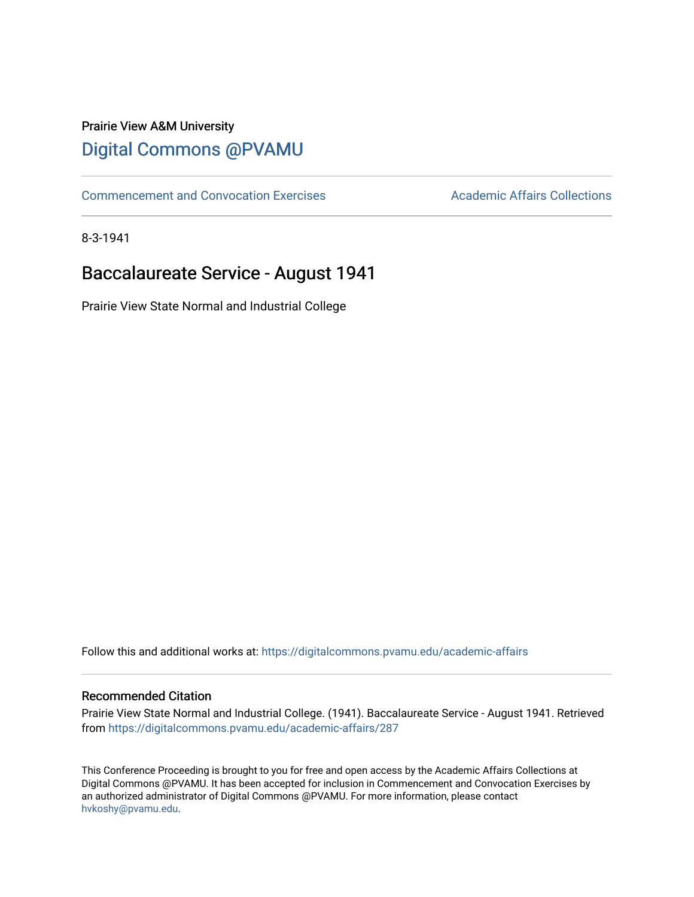## Prairie View A&M University [Digital Commons @PVAMU](https://digitalcommons.pvamu.edu/)

[Commencement and Convocation Exercises](https://digitalcommons.pvamu.edu/academic-affairs) **Academic Affairs Collections** 

8-3-1941

# Baccalaureate Service - August 1941

Prairie View State Normal and Industrial College

Follow this and additional works at: [https://digitalcommons.pvamu.edu/academic-affairs](https://digitalcommons.pvamu.edu/academic-affairs?utm_source=digitalcommons.pvamu.edu%2Facademic-affairs%2F287&utm_medium=PDF&utm_campaign=PDFCoverPages)

### Recommended Citation

Prairie View State Normal and Industrial College. (1941). Baccalaureate Service - August 1941. Retrieved from [https://digitalcommons.pvamu.edu/academic-affairs/287](https://digitalcommons.pvamu.edu/academic-affairs/287?utm_source=digitalcommons.pvamu.edu%2Facademic-affairs%2F287&utm_medium=PDF&utm_campaign=PDFCoverPages) 

This Conference Proceeding is brought to you for free and open access by the Academic Affairs Collections at Digital Commons @PVAMU. It has been accepted for inclusion in Commencement and Convocation Exercises by an authorized administrator of Digital Commons @PVAMU. For more information, please contact [hvkoshy@pvamu.edu](mailto:hvkoshy@pvamu.edu).